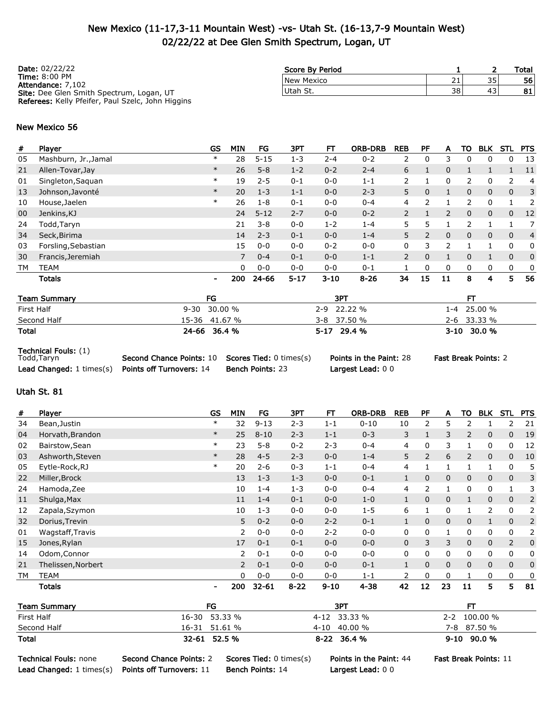### New Mexico (11-17,3-11 Mountain West) -vs- Utah St. (16-13,7-9 Mountain West) 02/22/22 at Dee Glen Smith Spectrum, Logan, UT

| <b>Date: 02/22/22</b>                                    | Score By Period |    |    | Total |
|----------------------------------------------------------|-----------------|----|----|-------|
| <b>Time: 8:00 PM</b><br>Attendance: 7.102                | New Mexico      | 21 | 35 | 56    |
| <b>Site:</b> Dee Glen Smith Spectrum, Logan, UT          | Utah St.        | 38 | 43 | 81    |
| <b>Referees:</b> Kelly Pfeifer, Paul Szelc, John Higgins |                 |    |    |       |

#### New Mexico 56

| #  | Player               | <b>GS</b> | <b>MIN</b> | FG       | 3PT      | FT       | <b>ORB-DRB</b> | <b>REB</b>     | PF       | A              | то       | <b>BLK</b> | STL          | <b>PTS</b>     |
|----|----------------------|-----------|------------|----------|----------|----------|----------------|----------------|----------|----------------|----------|------------|--------------|----------------|
| 05 | Mashburn, Jr., Jamal | $\ast$    | 28         | $5 - 15$ | $1 - 3$  | $2 - 4$  | $0 - 2$        | 2              | 0        | 3              | 0        | 0          | 0            | 13             |
| 21 | Allen-Tovar, Jay     | $\ast$    | 26         | $5 - 8$  | $1 - 2$  | $0 - 2$  | $2 - 4$        | 6              |          | 0              |          |            |              | -11            |
| 01 | Singleton, Saquan    | $\ast$    | 19         | $2 - 5$  | $0 - 1$  | $0 - 0$  | $1 - 1$        | 2              |          | 0              | 2        | 0          | 2            | 4              |
| 13 | Johnson, Javonté     | $\ast$    | 20         | $1 - 3$  | $1 - 1$  | $0 - 0$  | $2 - 3$        | 5.             | 0        |                | $\Omega$ | 0          | 0            | 3              |
| 10 | House, Jaelen        | $\ast$    | 26         | $1 - 8$  | $0 - 1$  | $0 - 0$  | $0 - 4$        | 4              |          |                | 2        | 0          |              | 2              |
| 00 | Jenkins, KJ          |           | 24         | $5 - 12$ | $2 - 7$  | $0 - 0$  | $0 - 2$        | $\overline{2}$ |          | $\overline{2}$ | $\Omega$ | 0          | 0            | 12             |
| 24 | Todd,Taryn           |           | 21         | $3 - 8$  | $0 - 0$  | $1 - 2$  | $1 - 4$        | 5.             | 5        |                | 2        |            |              | 7              |
| 34 | Seck, Birima         |           | 14         | $2 - 3$  | $0 - 1$  | $0 - 0$  | $1 - 4$        | 5.             | 2        | 0              | 0        | 0          | $\mathbf{0}$ | $\overline{4}$ |
| 03 | Forsling, Sebastian  |           | 15         | $0 - 0$  | $0 - 0$  | $0 - 2$  | $0 - 0$        | 0              | 3        | 2              |          |            | 0            | 0              |
| 30 | Francis, Jeremiah    |           | 7          | $0 - 4$  | $0 - 1$  | $0 - 0$  | $1 - 1$        | $\overline{2}$ | $\Omega$ |                | $\Omega$ |            | $\Omega$     | 0              |
| TM | <b>TEAM</b>          |           | 0          | $0 - 0$  | $0 - 0$  | $0 - 0$  | $0 - 1$        |                | 0        | 0              | 0        | 0          | 0            | 0              |
|    | Totals               | ٠         | 200        | 24-66    | $5 - 17$ | $3 - 10$ | $8 - 26$       | 34             | 15       | 11             | 8        | 4          | 5            | 56             |
|    |                      |           |            |          |          |          |                |                |          |                |          |            |              |                |

| <b>Team Summary</b> | FG            | 3P1            |                 |
|---------------------|---------------|----------------|-----------------|
| First Half          | 9-30 30.00 %  | 22.22 %<br>2-9 | $1 - 4$ 25.00 % |
| Second Half         | 15-36 41.67 % | $3-8$ 37.50 %  | 2-6 33.33 %     |
| <b>Total</b>        | 24-66 36.4 %  | 5-17 29.4 %    | 3-10 30.0 %     |

Technical Fouls: (1)<br>Todd,Taryn

Second Chance Points: 10 Scores Tied: 0 times(s) Points in the Paint: 28 Fast Break Points: 2 Lead Changed: 1 times(s) Points off Turnovers: 14 Bench Points: 23 Largest Lead: 0 0

#### Utah St. 81

| #         | Player             | <b>GS</b>      | <b>MIN</b>     | FG        | 3PT      | FT       | <b>ORB-DRB</b> | <b>REB</b>   | PF       | A            | то             | <b>BLK</b>   | <b>STL</b>   | <b>PTS</b> |
|-----------|--------------------|----------------|----------------|-----------|----------|----------|----------------|--------------|----------|--------------|----------------|--------------|--------------|------------|
| 34        | Bean, Justin       | $\ast$         | 32             | $9 - 13$  | $2 - 3$  | $1 - 1$  | $0 - 10$       | 10           | 2        | 5            | 2              |              | 2            | 21         |
| 04        | Horvath, Brandon   | $\ast$         | 25             | $8 - 10$  | $2 - 3$  | $1 - 1$  | $0 - 3$        | 3            |          | 3            | $\overline{2}$ | 0            | $\mathbf{0}$ | 19         |
| 02        | Bairstow, Sean     | $\ast$         | 23             | $5 - 8$   | $0 - 2$  | $2 - 3$  | $0 - 4$        | 4            | 0        | 3            |                | 0            | 0            | 12         |
| 03        | Ashworth, Steven   | $\ast$         | 28             | $4 - 5$   | $2 - 3$  | $0 - 0$  | $1 - 4$        | 5            | 2        | 6            | 2              | $\mathbf{0}$ | $\mathbf{0}$ | 10         |
| 05        | Eytle-Rock, RJ     | $\ast$         | 20             | $2 - 6$   | $0 - 3$  | $1 - 1$  | $0 - 4$        | 4            |          | $\mathbf{I}$ |                |              | 0            | 5          |
| 22        | Miller, Brock      |                | 13             | $1 - 3$   | $1 - 3$  | $0 - 0$  | $0 - 1$        | $\mathbf{1}$ | 0        | 0            | 0              | 0            | 0            | 3          |
| 24        | Hamoda, Zee        |                | 10             | $1 - 4$   | $1 - 3$  | $0 - 0$  | $0 - 4$        | 4            | 2        |              | 0              | 0            |              | 3          |
| 11        | Shulga, Max        |                | 11             | $1 - 4$   | $0 - 1$  | $0 - 0$  | $1 - 0$        | $\mathbf{1}$ | $\Omega$ | $\mathbf 0$  | $\mathbf{1}$   | $\mathbf{0}$ | $\mathbf{0}$ | 2          |
| 12        | Zapala, Szymon     |                | 10             | $1 - 3$   | $0 - 0$  | $0 - 0$  | $1 - 5$        | 6            |          | 0            |                | 2            | 0            | 2          |
| 32        | Dorius, Trevin     |                | 5              | $0 - 2$   | $0 - 0$  | $2 - 2$  | $0 - 1$        | $\mathbf{1}$ | 0        | 0            | 0              | $\mathbf{1}$ | $\mathbf 0$  | 2          |
| 01        | Wagstaff, Travis   |                | $\overline{2}$ | $0 - 0$   | $0 - 0$  | $2 - 2$  | $0 - 0$        | 0            | 0        |              | 0              | 0            | 0            | 2          |
| 15        | Jones, Rylan       |                | 17             | $0 - 1$   | $0 - 1$  | $0 - 0$  | $0 - 0$        | 0            | 3        | 3            | 0              | 0            | 2            | 0          |
| 14        | Odom, Connor       |                | $\overline{2}$ | $0 - 1$   | $0 - 0$  | $0 - 0$  | $0 - 0$        | 0            | 0        | 0            | 0              | 0            | 0            | 0          |
| 21        | Thelissen, Norbert |                | 2              | $0 - 1$   | $0 - 0$  | $0 - 0$  | $0 - 1$        | $\mathbf{1}$ | $\Omega$ | 0            | $\Omega$       | 0            | $\Omega$     | 0          |
| <b>TM</b> | <b>TEAM</b>        |                | $\Omega$       | $0 - 0$   | $0 - 0$  | $0 - 0$  | $1 - 1$        | 2            | 0        | 0            |                | 0            | 0            | 0          |
|           | <b>Totals</b>      | $\blacksquare$ | 200            | $32 - 61$ | $8 - 22$ | $9 - 10$ | $4 - 38$       | 42           | 12       | 23           | 11             | 5            | 5            | 81         |

| <b>Team Summary</b> | FG            | 3PT            |                  |
|---------------------|---------------|----------------|------------------|
| First Half          | 16-30 53.33 % | 4-12 33.33 %   | $2 - 2$ 100.00 % |
| Second Half         | 16-31 51.61 % | $4-10$ 40.00 % | 7-8 87.50 %      |
| Total               | 32-61 52.5 %  | $8-22$ 36.4 %  | $9-10$ $90.0%$   |

Technical Fouls: none Second Chance Points: 2 Scores Tied: 0 times(s) Points in the Paint: 44 Fast Break Points: 11 Lead Changed: 1 times(s) Points off Turnovers: 11 Bench Points: 14 Largest Lead: 0 0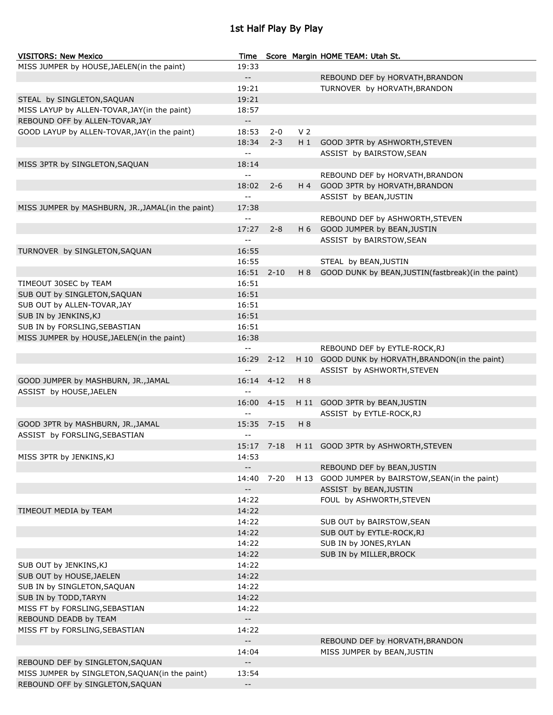## 1st Half Play By Play

| <b>VISITORS: New Mexico</b>                       | Time                                          |            |                | Score Margin HOME TEAM: Utah St.                         |
|---------------------------------------------------|-----------------------------------------------|------------|----------------|----------------------------------------------------------|
| MISS JUMPER by HOUSE, JAELEN(in the paint)        | 19:33                                         |            |                |                                                          |
|                                                   | $- -$                                         |            |                | REBOUND DEF by HORVATH, BRANDON                          |
|                                                   | 19:21                                         |            |                | TURNOVER by HORVATH, BRANDON                             |
| STEAL by SINGLETON, SAQUAN                        | 19:21                                         |            |                |                                                          |
| MISS LAYUP by ALLEN-TOVAR, JAY(in the paint)      | 18:57                                         |            |                |                                                          |
| REBOUND OFF by ALLEN-TOVAR, JAY                   | $\overline{\phantom{a}}$                      |            |                |                                                          |
| GOOD LAYUP by ALLEN-TOVAR, JAY (in the paint)     | 18:53                                         | $2 - 0$    | V <sub>2</sub> |                                                          |
|                                                   | 18:34                                         | $2 - 3$    |                | H 1 GOOD 3PTR by ASHWORTH, STEVEN                        |
|                                                   | $\mathbb{L}^{\mathbb{L}}$                     |            |                | ASSIST by BAIRSTOW, SEAN                                 |
|                                                   |                                               |            |                |                                                          |
| MISS 3PTR by SINGLETON, SAQUAN                    | 18:14                                         |            |                |                                                          |
|                                                   | ÷÷                                            |            |                | REBOUND DEF by HORVATH, BRANDON                          |
|                                                   | 18:02                                         | $2 - 6$    |                | H 4 GOOD 3PTR by HORVATH, BRANDON                        |
|                                                   | $\overline{a}$                                |            |                | ASSIST by BEAN, JUSTIN                                   |
| MISS JUMPER by MASHBURN, JR., JAMAL(in the paint) | 17:38                                         |            |                |                                                          |
|                                                   | $\overline{a}$                                |            |                | REBOUND DEF by ASHWORTH, STEVEN                          |
|                                                   | 17:27                                         | $2 - 8$    |                | H 6 GOOD JUMPER by BEAN, JUSTIN                          |
|                                                   | $\overline{a}$                                |            |                | ASSIST by BAIRSTOW, SEAN                                 |
| TURNOVER by SINGLETON, SAQUAN                     | 16:55                                         |            |                |                                                          |
|                                                   | 16:55                                         |            |                | STEAL by BEAN, JUSTIN                                    |
|                                                   | 16:51                                         | $2 - 10$   |                | H 8 GOOD DUNK by BEAN, JUSTIN (fastbreak) (in the paint) |
| TIMEOUT 30SEC by TEAM                             | 16:51                                         |            |                |                                                          |
| SUB OUT by SINGLETON, SAQUAN                      | 16:51                                         |            |                |                                                          |
| SUB OUT by ALLEN-TOVAR, JAY                       | 16:51                                         |            |                |                                                          |
| SUB IN by JENKINS, KJ                             | 16:51                                         |            |                |                                                          |
| SUB IN by FORSLING, SEBASTIAN                     | 16:51                                         |            |                |                                                          |
| MISS JUMPER by HOUSE, JAELEN(in the paint)        | 16:38                                         |            |                |                                                          |
|                                                   | $\mathord{\hspace{1pt}\text{--}\hspace{1pt}}$ |            |                | REBOUND DEF by EYTLE-ROCK, RJ                            |
|                                                   | 16:29                                         | $2 - 12$   |                | H 10 GOOD DUNK by HORVATH, BRANDON(in the paint)         |
|                                                   | $-1$                                          |            |                | ASSIST by ASHWORTH, STEVEN                               |
|                                                   |                                               | $4 - 12$   | H 8            |                                                          |
| GOOD JUMPER by MASHBURN, JR., JAMAL               | 16:14<br>$\overline{a}$                       |            |                |                                                          |
| ASSIST by HOUSE, JAELEN                           |                                               |            |                |                                                          |
|                                                   | 16:00                                         | $4 - 15$   |                | H 11 GOOD 3PTR by BEAN, JUSTIN                           |
|                                                   | $\overline{a}$                                |            |                | ASSIST by EYTLE-ROCK, RJ                                 |
| GOOD 3PTR by MASHBURN, JR., JAMAL                 | 15:35                                         | $7 - 15$   | H 8            |                                                          |
| ASSIST by FORSLING, SEBASTIAN                     | $- -$                                         |            |                |                                                          |
|                                                   |                                               | 15:17 7-18 |                | H 11 GOOD 3PTR by ASHWORTH, STEVEN                       |
| MISS 3PTR by JENKINS, KJ                          | 14:53                                         |            |                |                                                          |
|                                                   | $- -$                                         |            |                | REBOUND DEF by BEAN, JUSTIN                              |
|                                                   | 14:40 7-20                                    |            |                | H 13 GOOD JUMPER by BAIRSTOW, SEAN(in the paint)         |
|                                                   | $- -$                                         |            |                | ASSIST by BEAN, JUSTIN                                   |
|                                                   | 14:22                                         |            |                | FOUL by ASHWORTH, STEVEN                                 |
| TIMEOUT MEDIA by TEAM                             | 14:22                                         |            |                |                                                          |
|                                                   | 14:22                                         |            |                | SUB OUT by BAIRSTOW, SEAN                                |
|                                                   | 14:22                                         |            |                | SUB OUT by EYTLE-ROCK, RJ                                |
|                                                   | 14:22                                         |            |                | SUB IN by JONES, RYLAN                                   |
|                                                   | 14:22                                         |            |                | SUB IN by MILLER, BROCK                                  |
| SUB OUT by JENKINS, KJ                            | 14:22                                         |            |                |                                                          |
| SUB OUT by HOUSE, JAELEN                          | 14:22                                         |            |                |                                                          |
| SUB IN by SINGLETON, SAQUAN                       | 14:22                                         |            |                |                                                          |
| SUB IN by TODD, TARYN                             | 14:22                                         |            |                |                                                          |
| MISS FT by FORSLING, SEBASTIAN                    | 14:22                                         |            |                |                                                          |
| REBOUND DEADB by TEAM                             | $- -$                                         |            |                |                                                          |
|                                                   | 14:22                                         |            |                |                                                          |
| MISS FT by FORSLING, SEBASTIAN                    | $- -$                                         |            |                |                                                          |
|                                                   |                                               |            |                | REBOUND DEF by HORVATH, BRANDON                          |
|                                                   | 14:04                                         |            |                | MISS JUMPER by BEAN, JUSTIN                              |
| REBOUND DEF by SINGLETON, SAQUAN                  | $- -$                                         |            |                |                                                          |
| MISS JUMPER by SINGLETON, SAQUAN(in the paint)    | 13:54                                         |            |                |                                                          |
| REBOUND OFF by SINGLETON, SAQUAN                  | $- -$                                         |            |                |                                                          |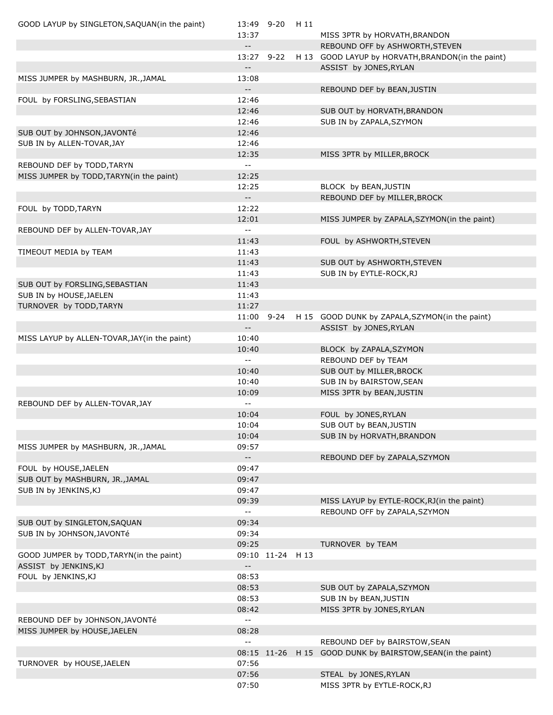| GOOD LAYUP by SINGLETON, SAQUAN(in the paint) | 13:49 9-20                                    |                  | H 11 |                                                   |
|-----------------------------------------------|-----------------------------------------------|------------------|------|---------------------------------------------------|
|                                               | 13:37                                         |                  |      | MISS 3PTR by HORVATH, BRANDON                     |
|                                               | $\overline{\phantom{a}}$                      |                  |      | REBOUND OFF by ASHWORTH, STEVEN                   |
|                                               | 13:27 9-22                                    |                  |      | H 13 GOOD LAYUP by HORVATH, BRANDON(in the paint) |
|                                               | $\mathord{\hspace{1pt}\text{--}\hspace{1pt}}$ |                  |      | ASSIST by JONES, RYLAN                            |
| MISS JUMPER by MASHBURN, JR., JAMAL           | 13:08                                         |                  |      |                                                   |
|                                               | $\mathord{\hspace{1pt}\text{--}\hspace{1pt}}$ |                  |      | REBOUND DEF by BEAN, JUSTIN                       |
| FOUL by FORSLING, SEBASTIAN                   | 12:46                                         |                  |      |                                                   |
|                                               | 12:46                                         |                  |      | SUB OUT by HORVATH, BRANDON                       |
|                                               | 12:46                                         |                  |      | SUB IN by ZAPALA, SZYMON                          |
| SUB OUT by JOHNSON, JAVONTé                   | 12:46                                         |                  |      |                                                   |
| SUB IN by ALLEN-TOVAR, JAY                    | 12:46                                         |                  |      |                                                   |
|                                               | 12:35                                         |                  |      | MISS 3PTR by MILLER, BROCK                        |
| REBOUND DEF by TODD, TARYN                    | $\sim$ $\sim$                                 |                  |      |                                                   |
| MISS JUMPER by TODD, TARYN(in the paint)      | 12:25                                         |                  |      |                                                   |
|                                               | 12:25                                         |                  |      | BLOCK by BEAN, JUSTIN                             |
|                                               | $\mathord{\hspace{1pt}\text{--}\hspace{1pt}}$ |                  |      | REBOUND DEF by MILLER, BROCK                      |
| FOUL by TODD, TARYN                           | 12:22                                         |                  |      |                                                   |
|                                               | 12:01                                         |                  |      | MISS JUMPER by ZAPALA, SZYMON(in the paint)       |
| REBOUND DEF by ALLEN-TOVAR, JAY               | $\mathord{\hspace{1pt}\text{--}\hspace{1pt}}$ |                  |      |                                                   |
|                                               | 11:43                                         |                  |      | FOUL by ASHWORTH, STEVEN                          |
| TIMEOUT MEDIA by TEAM                         | 11:43                                         |                  |      |                                                   |
|                                               | 11:43                                         |                  |      | SUB OUT by ASHWORTH, STEVEN                       |
|                                               | 11:43                                         |                  |      | SUB IN by EYTLE-ROCK, RJ                          |
|                                               |                                               |                  |      |                                                   |
| SUB OUT by FORSLING, SEBASTIAN                | 11:43                                         |                  |      |                                                   |
| SUB IN by HOUSE, JAELEN                       | 11:43                                         |                  |      |                                                   |
| TURNOVER by TODD, TARYN                       | 11:27                                         |                  |      |                                                   |
|                                               | 11:00                                         | $9 - 24$         |      | H 15 GOOD DUNK by ZAPALA, SZYMON(in the paint)    |
|                                               | $\mathord{\hspace{1pt}\text{--}\hspace{1pt}}$ |                  |      | ASSIST by JONES, RYLAN                            |
| MISS LAYUP by ALLEN-TOVAR, JAY(in the paint)  | 10:40                                         |                  |      |                                                   |
|                                               | 10:40                                         |                  |      | BLOCK by ZAPALA, SZYMON                           |
|                                               | $\mathord{\hspace{1pt}\text{--}\hspace{1pt}}$ |                  |      | REBOUND DEF by TEAM                               |
|                                               | 10:40                                         |                  |      | SUB OUT by MILLER, BROCK                          |
|                                               | 10:40                                         |                  |      | SUB IN by BAIRSTOW, SEAN                          |
|                                               | 10:09                                         |                  |      | MISS 3PTR by BEAN, JUSTIN                         |
| REBOUND DEF by ALLEN-TOVAR, JAY               | $\mathord{\hspace{1pt}\text{--}\hspace{1pt}}$ |                  |      |                                                   |
|                                               | 10:04                                         |                  |      | FOUL by JONES, RYLAN                              |
|                                               | 10:04                                         |                  |      | SUB OUT by BEAN, JUSTIN                           |
|                                               | 10:04                                         |                  |      | SUB IN by HORVATH, BRANDON                        |
| MISS JUMPER by MASHBURN, JR., JAMAL           | 09:57                                         |                  |      |                                                   |
|                                               | $\mathbb{H}^{\mathbb{H}}$                     |                  |      | REBOUND DEF by ZAPALA, SZYMON                     |
| FOUL by HOUSE, JAELEN                         | 09:47                                         |                  |      |                                                   |
| SUB OUT by MASHBURN, JR., JAMAL               | 09:47                                         |                  |      |                                                   |
|                                               | 09:47                                         |                  |      |                                                   |
| SUB IN by JENKINS, KJ                         |                                               |                  |      |                                                   |
|                                               | 09:39                                         |                  |      | MISS LAYUP by EYTLE-ROCK, RJ (in the paint)       |
|                                               | $\mathord{\hspace{1pt}\text{--}\hspace{1pt}}$ |                  |      | REBOUND OFF by ZAPALA, SZYMON                     |
| SUB OUT by SINGLETON, SAQUAN                  | 09:34                                         |                  |      |                                                   |
| SUB IN by JOHNSON, JAVONTé                    | 09:34                                         |                  |      |                                                   |
|                                               | 09:25                                         |                  |      | TURNOVER by TEAM                                  |
| GOOD JUMPER by TODD, TARYN(in the paint)      |                                               | 09:10 11-24 H 13 |      |                                                   |
| ASSIST by JENKINS, KJ                         | $\mathord{\hspace{1pt}\text{--}\hspace{1pt}}$ |                  |      |                                                   |
| FOUL by JENKINS, KJ                           | 08:53                                         |                  |      |                                                   |
|                                               | 08:53                                         |                  |      | SUB OUT by ZAPALA, SZYMON                         |
|                                               | 08:53                                         |                  |      | SUB IN by BEAN, JUSTIN                            |
|                                               | 08:42                                         |                  |      | MISS 3PTR by JONES, RYLAN                         |
| REBOUND DEF by JOHNSON, JAVONTé               | $\sim$ $\sim$                                 |                  |      |                                                   |
| MISS JUMPER by HOUSE, JAELEN                  | 08:28                                         |                  |      |                                                   |
|                                               | $\overline{\phantom{a}}$                      |                  |      | REBOUND DEF by BAIRSTOW, SEAN                     |
|                                               |                                               | 08:15 11-26      |      | H 15 GOOD DUNK by BAIRSTOW, SEAN(in the paint)    |
| TURNOVER by HOUSE, JAELEN                     | 07:56                                         |                  |      |                                                   |
|                                               | 07:56                                         |                  |      | STEAL by JONES, RYLAN                             |
|                                               | 07:50                                         |                  |      | MISS 3PTR by EYTLE-ROCK, RJ                       |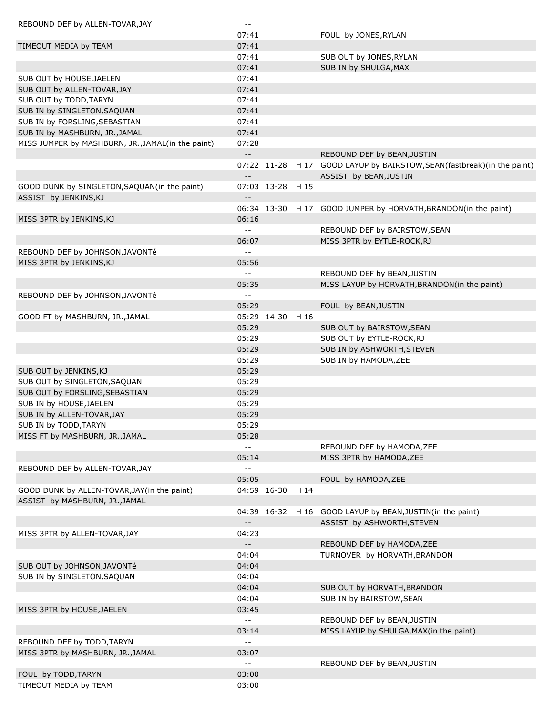| REBOUND DEF by ALLEN-TOVAR, JAY                   | $\overline{\phantom{a}}$ .<br>07:41 |                  | FOUL by JONES, RYLAN                                                     |
|---------------------------------------------------|-------------------------------------|------------------|--------------------------------------------------------------------------|
| TIMEOUT MEDIA by TEAM                             | 07:41                               |                  |                                                                          |
|                                                   | 07:41                               |                  | SUB OUT by JONES, RYLAN                                                  |
|                                                   | 07:41                               |                  | SUB IN by SHULGA, MAX                                                    |
| SUB OUT by HOUSE, JAELEN                          | 07:41                               |                  |                                                                          |
| SUB OUT by ALLEN-TOVAR, JAY                       | 07:41                               |                  |                                                                          |
| SUB OUT by TODD, TARYN                            | 07:41                               |                  |                                                                          |
| SUB IN by SINGLETON, SAQUAN                       | 07:41                               |                  |                                                                          |
| SUB IN by FORSLING, SEBASTIAN                     | 07:41                               |                  |                                                                          |
| SUB IN by MASHBURN, JR., JAMAL                    | 07:41                               |                  |                                                                          |
| MISS JUMPER by MASHBURN, JR., JAMAL(in the paint) | 07:28                               |                  |                                                                          |
|                                                   | $\overline{\phantom{a}}$            |                  | REBOUND DEF by BEAN, JUSTIN                                              |
|                                                   |                                     |                  | 07:22 11-28 H 17 GOOD LAYUP by BAIRSTOW, SEAN (fastbreak) (in the paint) |
|                                                   | $\overline{\phantom{m}}$ .          |                  | ASSIST by BEAN, JUSTIN                                                   |
| GOOD DUNK by SINGLETON, SAQUAN(in the paint)      |                                     | 07:03 13-28 H 15 |                                                                          |
| ASSIST by JENKINS, KJ                             | $- -$                               |                  |                                                                          |
|                                                   |                                     |                  | 06:34 13-30 H 17 GOOD JUMPER by HORVATH, BRANDON(in the paint)           |
| MISS 3PTR by JENKINS, KJ                          | 06:16<br>$\overline{a}$             |                  |                                                                          |
|                                                   | 06:07                               |                  | REBOUND DEF by BAIRSTOW, SEAN<br>MISS 3PTR by EYTLE-ROCK, RJ             |
| REBOUND DEF by JOHNSON, JAVONTé                   | $-$                                 |                  |                                                                          |
| MISS 3PTR by JENKINS, KJ                          | 05:56                               |                  |                                                                          |
|                                                   | $-$                                 |                  | REBOUND DEF by BEAN, JUSTIN                                              |
|                                                   | 05:35                               |                  | MISS LAYUP by HORVATH, BRANDON(in the paint)                             |
| REBOUND DEF by JOHNSON, JAVONTé                   | $\overline{a}$                      |                  |                                                                          |
|                                                   | 05:29                               |                  | FOUL by BEAN, JUSTIN                                                     |
| GOOD FT by MASHBURN, JR., JAMAL                   |                                     | 05:29 14-30 H 16 |                                                                          |
|                                                   | 05:29                               |                  | SUB OUT by BAIRSTOW, SEAN                                                |
|                                                   | 05:29                               |                  | SUB OUT by EYTLE-ROCK, RJ                                                |
|                                                   | 05:29                               |                  | SUB IN by ASHWORTH, STEVEN                                               |
|                                                   | 05:29                               |                  | SUB IN by HAMODA, ZEE                                                    |
| SUB OUT by JENKINS, KJ                            | 05:29                               |                  |                                                                          |
| SUB OUT by SINGLETON, SAQUAN                      | 05:29                               |                  |                                                                          |
| SUB OUT by FORSLING, SEBASTIAN                    | 05:29                               |                  |                                                                          |
| SUB IN by HOUSE, JAELEN                           | 05:29                               |                  |                                                                          |
| SUB IN by ALLEN-TOVAR, JAY                        | 05:29                               |                  |                                                                          |
| SUB IN by TODD, TARYN                             | 05:29                               |                  |                                                                          |
| MISS FT by MASHBURN, JR., JAMAL                   | 05:28                               |                  |                                                                          |
|                                                   | $\overline{\phantom{a}}$            |                  | REBOUND DEF by HAMODA, ZEE                                               |
|                                                   | 05:14                               |                  | MISS 3PTR by HAMODA, ZEE                                                 |
| REBOUND DEF by ALLEN-TOVAR, JAY                   | $\overline{a}$                      |                  |                                                                          |
| GOOD DUNK by ALLEN-TOVAR, JAY(in the paint)       | 05:05                               | 04:59 16-30 H 14 | FOUL by HAMODA, ZEE                                                      |
| ASSIST by MASHBURN, JR., JAMAL                    | $\overline{\phantom{a}}$            |                  |                                                                          |
|                                                   |                                     |                  | 04:39 16-32 H 16 GOOD LAYUP by BEAN, JUSTIN(in the paint)                |
|                                                   | $\overline{\phantom{a}}$            |                  | ASSIST by ASHWORTH, STEVEN                                               |
| MISS 3PTR by ALLEN-TOVAR, JAY                     | 04:23                               |                  |                                                                          |
|                                                   | $\overline{\phantom{a}}$            |                  | REBOUND DEF by HAMODA, ZEE                                               |
|                                                   | 04:04                               |                  | TURNOVER by HORVATH, BRANDON                                             |
| SUB OUT by JOHNSON, JAVONTé                       | 04:04                               |                  |                                                                          |
| SUB IN by SINGLETON, SAQUAN                       | 04:04                               |                  |                                                                          |
|                                                   | 04:04                               |                  | SUB OUT by HORVATH, BRANDON                                              |
|                                                   | 04:04                               |                  | SUB IN by BAIRSTOW, SEAN                                                 |
| MISS 3PTR by HOUSE, JAELEN                        | 03:45                               |                  |                                                                          |
|                                                   | --                                  |                  | REBOUND DEF by BEAN, JUSTIN                                              |
|                                                   | 03:14                               |                  | MISS LAYUP by SHULGA, MAX(in the paint)                                  |
| REBOUND DEF by TODD, TARYN                        | $\overline{\phantom{a}}$ .          |                  |                                                                          |
| MISS 3PTR by MASHBURN, JR., JAMAL                 | 03:07                               |                  |                                                                          |
|                                                   | $\overline{\phantom{a}}$ .          |                  | REBOUND DEF by BEAN, JUSTIN                                              |
| FOUL by TODD, TARYN                               | 03:00                               |                  |                                                                          |
| TIMEOUT MEDIA by TEAM                             | 03:00                               |                  |                                                                          |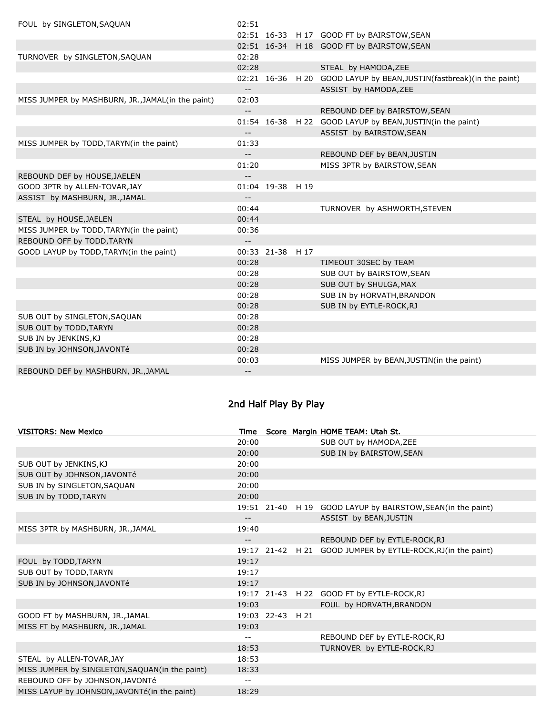| FOUL by SINGLETON, SAQUAN                         | 02:51                      |                  |                                                                      |
|---------------------------------------------------|----------------------------|------------------|----------------------------------------------------------------------|
|                                                   |                            |                  | 02:51 16-33 H 17 GOOD FT by BAIRSTOW, SEAN                           |
|                                                   |                            |                  | 02:51 16-34 H 18 GOOD FT by BAIRSTOW, SEAN                           |
| TURNOVER by SINGLETON, SAQUAN                     | 02:28                      |                  |                                                                      |
|                                                   | 02:28                      |                  | STEAL by HAMODA, ZEE                                                 |
|                                                   |                            |                  | 02:21 16-36 H 20 GOOD LAYUP by BEAN, JUSTIN(fastbreak)(in the paint) |
|                                                   | $- -$                      |                  | ASSIST by HAMODA, ZEE                                                |
| MISS JUMPER by MASHBURN, JR., JAMAL(in the paint) | 02:03                      |                  |                                                                      |
|                                                   | $\overline{\phantom{a}}$   |                  | REBOUND DEF by BAIRSTOW, SEAN                                        |
|                                                   |                            |                  | 01:54 16-38 H 22 GOOD LAYUP by BEAN, JUSTIN(in the paint)            |
|                                                   | $\overline{\phantom{a}}$   |                  | ASSIST by BAIRSTOW, SEAN                                             |
| MISS JUMPER by TODD, TARYN(in the paint)          | 01:33                      |                  |                                                                      |
|                                                   | $\overline{\phantom{a}}$   |                  | REBOUND DEF by BEAN, JUSTIN                                          |
|                                                   | 01:20                      |                  | MISS 3PTR by BAIRSTOW, SEAN                                          |
| REBOUND DEF by HOUSE, JAELEN                      | $\overline{\phantom{a}}$   |                  |                                                                      |
| GOOD 3PTR by ALLEN-TOVAR, JAY                     |                            | 01:04 19-38 H 19 |                                                                      |
| ASSIST by MASHBURN, JR., JAMAL                    | $\overline{\phantom{m}}$ . |                  |                                                                      |
|                                                   | 00:44                      |                  | TURNOVER by ASHWORTH, STEVEN                                         |
| STEAL by HOUSE, JAELEN                            | 00:44                      |                  |                                                                      |
| MISS JUMPER by TODD, TARYN(in the paint)          | 00:36                      |                  |                                                                      |
| REBOUND OFF by TODD, TARYN                        | $\overline{\phantom{a}}$ . |                  |                                                                      |
| GOOD LAYUP by TODD, TARYN(in the paint)           |                            | 00:33 21-38 H 17 |                                                                      |
|                                                   | 00:28                      |                  | TIMEOUT 30SEC by TEAM                                                |
|                                                   | 00:28                      |                  | SUB OUT by BAIRSTOW, SEAN                                            |
|                                                   | 00:28                      |                  | SUB OUT by SHULGA, MAX                                               |
|                                                   | 00:28                      |                  | SUB IN by HORVATH, BRANDON                                           |
|                                                   | 00:28                      |                  | SUB IN by EYTLE-ROCK, RJ                                             |
| SUB OUT by SINGLETON, SAQUAN                      | 00:28                      |                  |                                                                      |
| SUB OUT by TODD, TARYN                            | 00:28                      |                  |                                                                      |
| SUB IN by JENKINS, KJ                             | 00:28                      |                  |                                                                      |
| SUB IN by JOHNSON, JAVONTé                        | 00:28                      |                  |                                                                      |
|                                                   | 00:03                      |                  | MISS JUMPER by BEAN, JUSTIN(in the paint)                            |
| REBOUND DEF by MASHBURN, JR., JAMAL               | $\overline{\phantom{a}}$ . |                  |                                                                      |

# 2nd Half Play By Play

| <b>VISITORS: New Mexico</b>                    | Time                       |                  | Score Margin HOME TEAM: Utah St.                              |
|------------------------------------------------|----------------------------|------------------|---------------------------------------------------------------|
|                                                | 20:00                      |                  | SUB OUT by HAMODA, ZEE                                        |
|                                                | 20:00                      |                  | SUB IN by BAIRSTOW, SEAN                                      |
| SUB OUT by JENKINS, KJ                         | 20:00                      |                  |                                                               |
| SUB OUT by JOHNSON, JAVONTé                    | 20:00                      |                  |                                                               |
| SUB IN by SINGLETON, SAQUAN                    | 20:00                      |                  |                                                               |
| SUB IN by TODD, TARYN                          | 20:00                      |                  |                                                               |
|                                                |                            |                  | 19:51 21-40 H 19 GOOD LAYUP by BAIRSTOW, SEAN (in the paint)  |
|                                                | $- -$                      |                  | ASSIST by BEAN, JUSTIN                                        |
| MISS 3PTR by MASHBURN, JR., JAMAL              | 19:40                      |                  |                                                               |
|                                                | $\overline{\phantom{a}}$ . |                  | REBOUND DEF by EYTLE-ROCK, RJ                                 |
|                                                |                            |                  | 19:17 21-42 H 21 GOOD JUMPER by EYTLE-ROCK, RJ (in the paint) |
| FOUL by TODD, TARYN                            | 19:17                      |                  |                                                               |
| SUB OUT by TODD, TARYN                         | 19:17                      |                  |                                                               |
| SUB IN by JOHNSON, JAVONTé                     | 19:17                      |                  |                                                               |
|                                                |                            |                  | 19:17 21-43 H 22 GOOD FT by EYTLE-ROCK, RJ                    |
|                                                | 19:03                      |                  | FOUL by HORVATH, BRANDON                                      |
| GOOD FT by MASHBURN, JR., JAMAL                |                            | 19:03 22-43 H 21 |                                                               |
| MISS FT by MASHBURN, JR., JAMAL                | 19:03                      |                  |                                                               |
|                                                | $\overline{\phantom{m}}$   |                  | REBOUND DEF by EYTLE-ROCK, RJ                                 |
|                                                | 18:53                      |                  | TURNOVER by EYTLE-ROCK, RJ                                    |
| STEAL by ALLEN-TOVAR, JAY                      | 18:53                      |                  |                                                               |
| MISS JUMPER by SINGLETON, SAQUAN(in the paint) | 18:33                      |                  |                                                               |
| REBOUND OFF by JOHNSON, JAVONTé                | $\qquad \qquad -$          |                  |                                                               |
| MISS LAYUP by JOHNSON, JAVONTé(in the paint)   | 18:29                      |                  |                                                               |
|                                                |                            |                  |                                                               |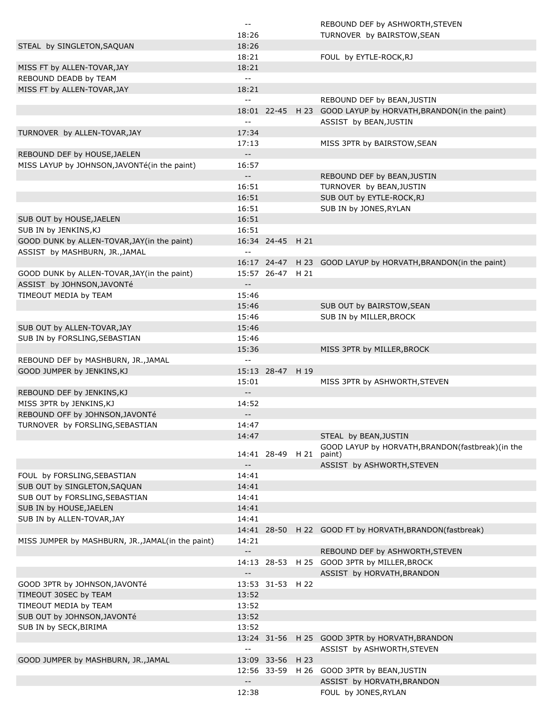|                                                   | $\sim$ $-$                                    |                  |      | REBOUND DEF by ASHWORTH, STEVEN                               |
|---------------------------------------------------|-----------------------------------------------|------------------|------|---------------------------------------------------------------|
|                                                   | 18:26                                         |                  |      | TURNOVER by BAIRSTOW, SEAN                                    |
| STEAL by SINGLETON, SAQUAN                        | 18:26                                         |                  |      |                                                               |
|                                                   | 18:21                                         |                  |      | FOUL by EYTLE-ROCK, RJ                                        |
| MISS FT by ALLEN-TOVAR, JAY                       | 18:21                                         |                  |      |                                                               |
| REBOUND DEADB by TEAM                             | $\overline{\phantom{a}}$                      |                  |      |                                                               |
| MISS FT by ALLEN-TOVAR, JAY                       | 18:21                                         |                  |      |                                                               |
|                                                   | $\overline{\phantom{a}}$                      |                  |      | REBOUND DEF by BEAN, JUSTIN                                   |
|                                                   |                                               | 18:01 22-45      |      | H 23 GOOD LAYUP by HORVATH, BRANDON(in the paint)             |
|                                                   | $\overline{\phantom{a}}$ .                    |                  |      | ASSIST by BEAN, JUSTIN                                        |
|                                                   |                                               |                  |      |                                                               |
| TURNOVER by ALLEN-TOVAR, JAY                      | 17:34                                         |                  |      |                                                               |
|                                                   | 17:13                                         |                  |      | MISS 3PTR by BAIRSTOW, SEAN                                   |
| REBOUND DEF by HOUSE, JAELEN                      | $-$                                           |                  |      |                                                               |
| MISS LAYUP by JOHNSON, JAVONTé(in the paint)      | 16:57                                         |                  |      |                                                               |
|                                                   | $-$                                           |                  |      | REBOUND DEF by BEAN, JUSTIN                                   |
|                                                   | 16:51                                         |                  |      | TURNOVER by BEAN, JUSTIN                                      |
|                                                   | 16:51                                         |                  |      | SUB OUT by EYTLE-ROCK, RJ                                     |
|                                                   | 16:51                                         |                  |      | SUB IN by JONES, RYLAN                                        |
| SUB OUT by HOUSE, JAELEN                          | 16:51                                         |                  |      |                                                               |
| SUB IN by JENKINS, KJ                             | 16:51                                         |                  |      |                                                               |
| GOOD DUNK by ALLEN-TOVAR, JAY (in the paint)      |                                               | 16:34 24-45 H 21 |      |                                                               |
| ASSIST by MASHBURN, JR., JAMAL                    | $\sim$ $-$                                    |                  |      |                                                               |
|                                                   |                                               |                  |      | 16:17 24-47 H 23 GOOD LAYUP by HORVATH, BRANDON(in the paint) |
| GOOD DUNK by ALLEN-TOVAR, JAY(in the paint)       |                                               | 15:57 26-47 H 21 |      |                                                               |
| ASSIST by JOHNSON, JAVONTé                        | $\overline{\phantom{a}}$ .                    |                  |      |                                                               |
|                                                   |                                               |                  |      |                                                               |
| TIMEOUT MEDIA by TEAM                             | 15:46                                         |                  |      |                                                               |
|                                                   | 15:46                                         |                  |      | SUB OUT by BAIRSTOW, SEAN                                     |
|                                                   | 15:46                                         |                  |      | SUB IN by MILLER, BROCK                                       |
| SUB OUT by ALLEN-TOVAR, JAY                       | 15:46                                         |                  |      |                                                               |
| SUB IN by FORSLING, SEBASTIAN                     | 15:46                                         |                  |      |                                                               |
|                                                   | 15:36                                         |                  |      | MISS 3PTR by MILLER, BROCK                                    |
| REBOUND DEF by MASHBURN, JR., JAMAL               | $\overline{\phantom{m}}$                      |                  |      |                                                               |
| GOOD JUMPER by JENKINS, KJ                        |                                               | 15:13 28-47 H 19 |      |                                                               |
|                                                   | 15:01                                         |                  |      | MISS 3PTR by ASHWORTH, STEVEN                                 |
| REBOUND DEF by JENKINS, KJ                        | $-$                                           |                  |      |                                                               |
| MISS 3PTR by JENKINS, KJ                          | 14:52                                         |                  |      |                                                               |
| REBOUND OFF by JOHNSON, JAVONTé                   | $--$                                          |                  |      |                                                               |
| TURNOVER by FORSLING, SEBASTIAN                   | 14:47                                         |                  |      |                                                               |
|                                                   | 14:47                                         |                  |      | STEAL by BEAN, JUSTIN                                         |
|                                                   |                                               |                  |      | GOOD LAYUP by HORVATH, BRANDON(fastbreak)(in the              |
|                                                   |                                               | 14:41 28-49 H 21 |      | paint)                                                        |
|                                                   | $\overline{\phantom{m}}$                      |                  |      | ASSIST by ASHWORTH, STEVEN                                    |
| FOUL by FORSLING, SEBASTIAN                       | 14:41                                         |                  |      |                                                               |
| SUB OUT by SINGLETON, SAQUAN                      | 14:41                                         |                  |      |                                                               |
| SUB OUT by FORSLING, SEBASTIAN                    | 14:41                                         |                  |      |                                                               |
| SUB IN by HOUSE, JAELEN                           | 14:41                                         |                  |      |                                                               |
|                                                   |                                               |                  |      |                                                               |
| SUB IN by ALLEN-TOVAR, JAY                        | 14:41                                         |                  |      |                                                               |
|                                                   |                                               |                  |      | 14:41 28-50 H 22 GOOD FT by HORVATH, BRANDON (fastbreak)      |
| MISS JUMPER by MASHBURN, JR., JAMAL(in the paint) | 14:21                                         |                  |      |                                                               |
|                                                   | $\sim$ $\sim$                                 |                  |      | REBOUND DEF by ASHWORTH, STEVEN                               |
|                                                   |                                               |                  |      | 14:13 28-53 H 25 GOOD 3PTR by MILLER, BROCK                   |
|                                                   | $\overline{\phantom{a}}$ .                    |                  |      | ASSIST by HORVATH, BRANDON                                    |
| GOOD 3PTR by JOHNSON, JAVONTé                     |                                               | 13:53 31-53 H 22 |      |                                                               |
| TIMEOUT 30SEC by TEAM                             | 13:52                                         |                  |      |                                                               |
| TIMEOUT MEDIA by TEAM                             | 13:52                                         |                  |      |                                                               |
| SUB OUT by JOHNSON, JAVONTé                       | 13:52                                         |                  |      |                                                               |
| SUB IN by SECK, BIRIMA                            | 13:52                                         |                  |      |                                                               |
|                                                   |                                               |                  |      | 13:24 31-56 H 25 GOOD 3PTR by HORVATH, BRANDON                |
|                                                   | $\mathord{\hspace{1pt}\text{--}\hspace{1pt}}$ |                  |      | ASSIST by ASHWORTH, STEVEN                                    |
| GOOD JUMPER by MASHBURN, JR., JAMAL               |                                               | 13:09 33-56      | H 23 |                                                               |
|                                                   |                                               |                  |      |                                                               |
|                                                   |                                               |                  |      | 12:56 33-59 H 26 GOOD 3PTR by BEAN, JUSTIN                    |
|                                                   | $\mathord{\hspace{1pt}\text{--}\hspace{1pt}}$ |                  |      | ASSIST by HORVATH, BRANDON                                    |
|                                                   | 12:38                                         |                  |      | FOUL by JONES, RYLAN                                          |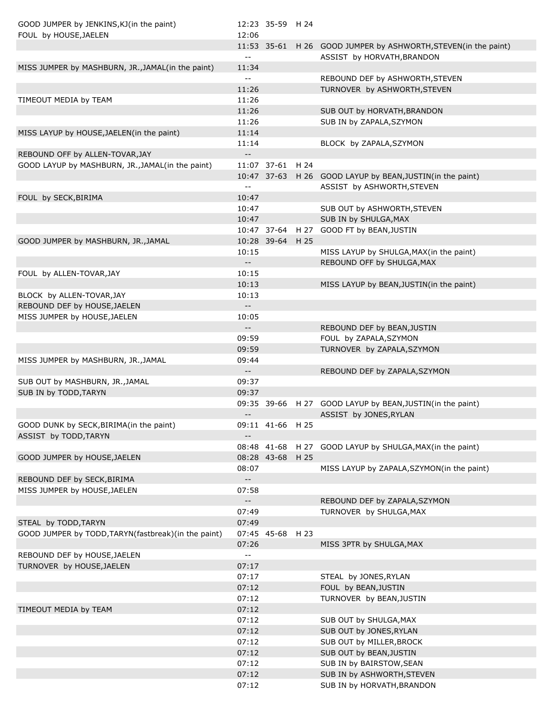| GOOD JUMPER by JENKINS, KJ(in the paint)                                            |                                               | 12:23 35-59 H 24 |                                                                 |
|-------------------------------------------------------------------------------------|-----------------------------------------------|------------------|-----------------------------------------------------------------|
| FOUL by HOUSE, JAELEN                                                               | 12:06                                         |                  |                                                                 |
|                                                                                     |                                               |                  | 11:53 35-61 H 26 GOOD JUMPER by ASHWORTH, STEVEN (in the paint) |
|                                                                                     | $-$                                           |                  | ASSIST by HORVATH, BRANDON                                      |
| MISS JUMPER by MASHBURN, JR., JAMAL(in the paint)                                   | 11:34                                         |                  |                                                                 |
|                                                                                     | $\mathbf{u}$                                  |                  | REBOUND DEF by ASHWORTH, STEVEN                                 |
|                                                                                     | 11:26                                         |                  | TURNOVER by ASHWORTH, STEVEN                                    |
| TIMEOUT MEDIA by TEAM                                                               | 11:26                                         |                  |                                                                 |
|                                                                                     | 11:26                                         |                  | SUB OUT by HORVATH, BRANDON                                     |
|                                                                                     | 11:26                                         |                  | SUB IN by ZAPALA, SZYMON                                        |
| MISS LAYUP by HOUSE, JAELEN(in the paint)                                           | 11:14                                         |                  |                                                                 |
|                                                                                     | 11:14<br>$\overline{\phantom{a}}$             |                  | BLOCK by ZAPALA, SZYMON                                         |
| REBOUND OFF by ALLEN-TOVAR, JAY<br>GOOD LAYUP by MASHBURN, JR., JAMAL(in the paint) |                                               | 11:07 37-61 H 24 |                                                                 |
|                                                                                     |                                               |                  | 10:47 37-63 H 26 GOOD LAYUP by BEAN, JUSTIN(in the paint)       |
|                                                                                     | $\sim$ $-$                                    |                  | ASSIST by ASHWORTH, STEVEN                                      |
| FOUL by SECK, BIRIMA                                                                | 10:47                                         |                  |                                                                 |
|                                                                                     | 10:47                                         |                  | SUB OUT by ASHWORTH, STEVEN                                     |
|                                                                                     | 10:47                                         |                  | SUB IN by SHULGA, MAX                                           |
|                                                                                     |                                               |                  | 10:47 37-64 H 27 GOOD FT by BEAN, JUSTIN                        |
| GOOD JUMPER by MASHBURN, JR., JAMAL                                                 |                                               | 10:28 39-64 H 25 |                                                                 |
|                                                                                     | 10:15                                         |                  | MISS LAYUP by SHULGA, MAX(in the paint)                         |
|                                                                                     | $\sim$ $\sim$                                 |                  | REBOUND OFF by SHULGA, MAX                                      |
| FOUL by ALLEN-TOVAR, JAY                                                            | 10:15                                         |                  |                                                                 |
|                                                                                     | 10:13                                         |                  | MISS LAYUP by BEAN, JUSTIN(in the paint)                        |
| BLOCK by ALLEN-TOVAR, JAY                                                           | 10:13                                         |                  |                                                                 |
| REBOUND DEF by HOUSE, JAELEN                                                        | $\sim$ $\sim$                                 |                  |                                                                 |
| MISS JUMPER by HOUSE, JAELEN                                                        | 10:05                                         |                  |                                                                 |
|                                                                                     | $\sim$ $\sim$                                 |                  | REBOUND DEF by BEAN, JUSTIN                                     |
|                                                                                     | 09:59                                         |                  | FOUL by ZAPALA, SZYMON                                          |
|                                                                                     | 09:59                                         |                  | TURNOVER by ZAPALA, SZYMON                                      |
| MISS JUMPER by MASHBURN, JR., JAMAL                                                 | 09:44                                         |                  |                                                                 |
|                                                                                     | $\sim$ $\sim$                                 |                  | REBOUND DEF by ZAPALA, SZYMON                                   |
| SUB OUT by MASHBURN, JR., JAMAL                                                     | 09:37                                         |                  |                                                                 |
| SUB IN by TODD, TARYN                                                               | 09:37                                         |                  |                                                                 |
|                                                                                     |                                               |                  | 09:35 39-66 H 27 GOOD LAYUP by BEAN, JUSTIN(in the paint)       |
|                                                                                     | $- -$                                         |                  | ASSIST by JONES, RYLAN                                          |
| GOOD DUNK by SECK, BIRIMA(in the paint)                                             |                                               | 09:11 41-66 H 25 |                                                                 |
| ASSIST by TODD, TARYN                                                               | $- -$                                         |                  |                                                                 |
|                                                                                     |                                               |                  | 08:48 41-68 H 27 GOOD LAYUP by SHULGA, MAX(in the paint)        |
| GOOD JUMPER by HOUSE, JAELEN                                                        |                                               | 08:28 43-68 H 25 |                                                                 |
|                                                                                     | 08:07                                         |                  | MISS LAYUP by ZAPALA, SZYMON(in the paint)                      |
| REBOUND DEF by SECK, BIRIMA                                                         | $\mathbb{L}^{\mathbb{L}}$                     |                  |                                                                 |
| MISS JUMPER by HOUSE, JAELEN                                                        | 07:58                                         |                  |                                                                 |
|                                                                                     | $\overline{\phantom{a}}$                      |                  | REBOUND DEF by ZAPALA, SZYMON                                   |
|                                                                                     | 07:49                                         |                  | TURNOVER by SHULGA, MAX                                         |
| STEAL by TODD, TARYN                                                                | 07:49                                         |                  |                                                                 |
| GOOD JUMPER by TODD, TARYN(fastbreak)(in the paint)                                 |                                               | 07:45 45-68 H 23 |                                                                 |
|                                                                                     | 07:26                                         |                  | MISS 3PTR by SHULGA, MAX                                        |
| REBOUND DEF by HOUSE, JAELEN                                                        | $\mathord{\hspace{1pt}\text{--}\hspace{1pt}}$ |                  |                                                                 |
| TURNOVER by HOUSE, JAELEN                                                           | 07:17                                         |                  |                                                                 |
|                                                                                     | 07:17                                         |                  | STEAL by JONES, RYLAN                                           |
|                                                                                     | 07:12                                         |                  | FOUL by BEAN, JUSTIN                                            |
|                                                                                     | 07:12                                         |                  | TURNOVER by BEAN, JUSTIN                                        |
| TIMEOUT MEDIA by TEAM                                                               | 07:12                                         |                  |                                                                 |
|                                                                                     | 07:12                                         |                  | SUB OUT by SHULGA, MAX                                          |
|                                                                                     | 07:12                                         |                  | SUB OUT by JONES, RYLAN                                         |
|                                                                                     | 07:12                                         |                  | SUB OUT by MILLER, BROCK                                        |
|                                                                                     | 07:12                                         |                  | SUB OUT by BEAN, JUSTIN                                         |
|                                                                                     | 07:12                                         |                  | SUB IN by BAIRSTOW, SEAN                                        |
|                                                                                     | 07:12                                         |                  | SUB IN by ASHWORTH, STEVEN                                      |
|                                                                                     | 07:12                                         |                  | SUB IN by HORVATH, BRANDON                                      |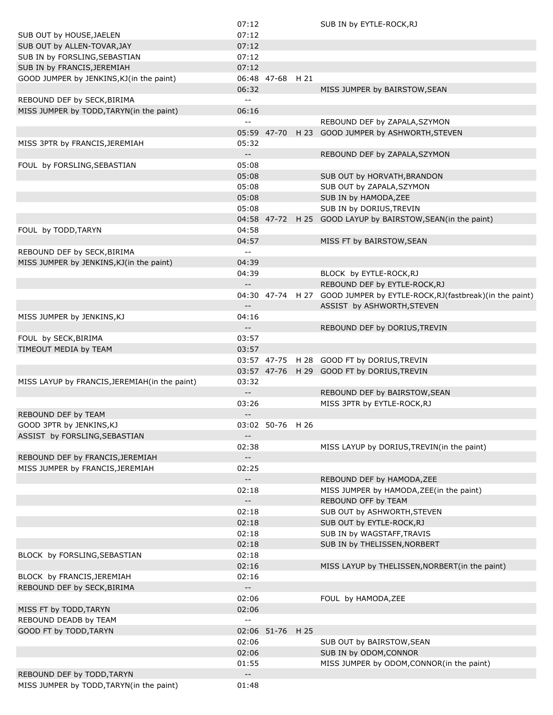|                                                | 07:12                      |                  | SUB IN by EYTLE-ROCK, RJ                                                  |
|------------------------------------------------|----------------------------|------------------|---------------------------------------------------------------------------|
| SUB OUT by HOUSE, JAELEN                       | 07:12                      |                  |                                                                           |
| SUB OUT by ALLEN-TOVAR, JAY                    | 07:12                      |                  |                                                                           |
| SUB IN by FORSLING, SEBASTIAN                  | 07:12                      |                  |                                                                           |
|                                                | 07:12                      |                  |                                                                           |
| SUB IN by FRANCIS, JEREMIAH                    |                            |                  |                                                                           |
| GOOD JUMPER by JENKINS, KJ(in the paint)       |                            | 06:48 47-68 H 21 |                                                                           |
|                                                | 06:32                      |                  | MISS JUMPER by BAIRSTOW, SEAN                                             |
| REBOUND DEF by SECK, BIRIMA                    | $\overline{a}$             |                  |                                                                           |
| MISS JUMPER by TODD, TARYN(in the paint)       | 06:16                      |                  |                                                                           |
|                                                | $\overline{a}$             |                  | REBOUND DEF by ZAPALA, SZYMON                                             |
|                                                |                            | 05:59 47-70      | H 23 GOOD JUMPER by ASHWORTH, STEVEN                                      |
| MISS 3PTR by FRANCIS, JEREMIAH                 | 05:32                      |                  |                                                                           |
|                                                | $\sim$ $\sim$              |                  | REBOUND DEF by ZAPALA, SZYMON                                             |
| FOUL by FORSLING, SEBASTIAN                    | 05:08                      |                  |                                                                           |
|                                                | 05:08                      |                  | SUB OUT by HORVATH, BRANDON                                               |
|                                                | 05:08                      |                  | SUB OUT by ZAPALA, SZYMON                                                 |
|                                                | 05:08                      |                  | SUB IN by HAMODA, ZEE                                                     |
|                                                | 05:08                      |                  |                                                                           |
|                                                |                            |                  | SUB IN by DORIUS, TREVIN                                                  |
|                                                |                            |                  | 04:58 47-72 H 25 GOOD LAYUP by BAIRSTOW, SEAN(in the paint)               |
| FOUL by TODD, TARYN                            | 04:58                      |                  |                                                                           |
|                                                | 04:57                      |                  | MISS FT by BAIRSTOW, SEAN                                                 |
| REBOUND DEF by SECK, BIRIMA                    | $-$                        |                  |                                                                           |
| MISS JUMPER by JENKINS, KJ(in the paint)       | 04:39                      |                  |                                                                           |
|                                                | 04:39                      |                  | BLOCK by EYTLE-ROCK, RJ                                                   |
|                                                | $\overline{\phantom{a}}$   |                  | REBOUND DEF by EYTLE-ROCK, RJ                                             |
|                                                |                            |                  | 04:30 47-74 H 27 GOOD JUMPER by EYTLE-ROCK, RJ (fastbreak) (in the paint) |
|                                                | $-$                        |                  | ASSIST by ASHWORTH, STEVEN                                                |
| MISS JUMPER by JENKINS, KJ                     | 04:16                      |                  |                                                                           |
|                                                | $\overline{\phantom{a}}$   |                  | REBOUND DEF by DORIUS, TREVIN                                             |
| FOUL by SECK, BIRIMA                           | 03:57                      |                  |                                                                           |
|                                                |                            |                  |                                                                           |
| TIMEOUT MEDIA by TEAM                          | 03:57                      |                  |                                                                           |
|                                                |                            |                  | 03:57 47-75 H 28 GOOD FT by DORIUS, TREVIN                                |
|                                                |                            |                  | 03:57 47-76 H 29 GOOD FT by DORIUS, TREVIN                                |
| MISS LAYUP by FRANCIS, JEREMIAH (in the paint) | 03:32                      |                  |                                                                           |
|                                                | $-$                        |                  | REBOUND DEF by BAIRSTOW, SEAN                                             |
|                                                | 03:26                      |                  | MISS 3PTR by EYTLE-ROCK, RJ                                               |
| REBOUND DEF by TEAM                            | $- -$                      |                  |                                                                           |
| GOOD 3PTR by JENKINS, KJ                       |                            | 03:02 50-76 H 26 |                                                                           |
| ASSIST by FORSLING, SEBASTIAN                  | $- -$                      |                  |                                                                           |
|                                                | 02:38                      |                  | MISS LAYUP by DORIUS, TREVIN(in the paint)                                |
| REBOUND DEF by FRANCIS, JEREMIAH               | $\overline{\phantom{a}}$ . |                  |                                                                           |
| MISS JUMPER by FRANCIS, JEREMIAH               | 02:25                      |                  |                                                                           |
|                                                | $\overline{\phantom{a}}$   |                  | REBOUND DEF by HAMODA, ZEE                                                |
|                                                | 02:18                      |                  | MISS JUMPER by HAMODA, ZEE(in the paint)                                  |
|                                                |                            |                  |                                                                           |
|                                                | $\overline{\phantom{a}}$   |                  | REBOUND OFF by TEAM                                                       |
|                                                | 02:18                      |                  | SUB OUT by ASHWORTH, STEVEN                                               |
|                                                | 02:18                      |                  | SUB OUT by EYTLE-ROCK, RJ                                                 |
|                                                | 02:18                      |                  | SUB IN by WAGSTAFF, TRAVIS                                                |
|                                                | 02:18                      |                  | SUB IN by THELISSEN, NORBERT                                              |
| BLOCK by FORSLING, SEBASTIAN                   | 02:18                      |                  |                                                                           |
|                                                | 02:16                      |                  | MISS LAYUP by THELISSEN, NORBERT (in the paint)                           |
| BLOCK by FRANCIS, JEREMIAH                     | 02:16                      |                  |                                                                           |
| REBOUND DEF by SECK, BIRIMA                    | $\overline{\phantom{a}}$   |                  |                                                                           |
|                                                | 02:06                      |                  | FOUL by HAMODA, ZEE                                                       |
| MISS FT by TODD, TARYN                         | 02:06                      |                  |                                                                           |
| REBOUND DEADB by TEAM                          | $\overline{a}$             |                  |                                                                           |
|                                                |                            |                  |                                                                           |
| GOOD FT by TODD, TARYN                         |                            | 02:06 51-76 H 25 |                                                                           |
|                                                | 02:06                      |                  | SUB OUT by BAIRSTOW, SEAN                                                 |
|                                                | 02:06                      |                  | SUB IN by ODOM, CONNOR                                                    |
|                                                | 01:55                      |                  | MISS JUMPER by ODOM, CONNOR(in the paint)                                 |
| REBOUND DEF by TODD, TARYN                     | $-\,-$                     |                  |                                                                           |
| MISS JUMPER by TODD, TARYN(in the paint)       | 01:48                      |                  |                                                                           |